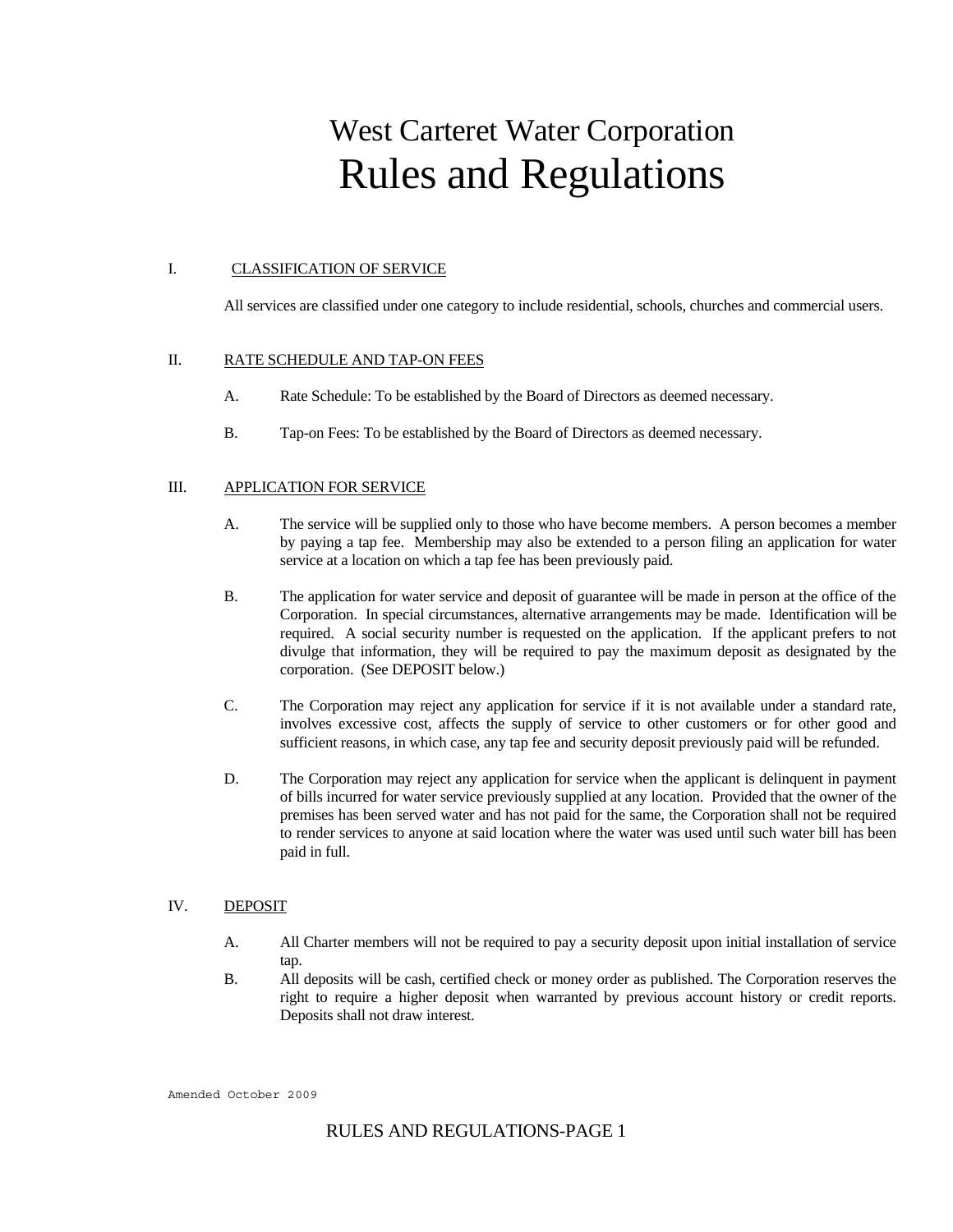# West Carteret Water Corporation Rules and Regulations

## I. CLASSIFICATION OF SERVICE

All services are classified under one category to include residential, schools, churches and commercial users.

# II. RATE SCHEDULE AND TAP-ON FEES

- A. Rate Schedule: To be established by the Board of Directors as deemed necessary.
- B. Tap-on Fees: To be established by the Board of Directors as deemed necessary.

# III. APPLICATION FOR SERVICE

- A. The service will be supplied only to those who have become members. A person becomes a member by paying a tap fee. Membership may also be extended to a person filing an application for water service at a location on which a tap fee has been previously paid.
- B. The application for water service and deposit of guarantee will be made in person at the office of the Corporation. In special circumstances, alternative arrangements may be made. Identification will be required. A social security number is requested on the application. If the applicant prefers to not divulge that information, they will be required to pay the maximum deposit as designated by the corporation. (See DEPOSIT below.)
- C. The Corporation may reject any application for service if it is not available under a standard rate, involves excessive cost, affects the supply of service to other customers or for other good and sufficient reasons, in which case, any tap fee and security deposit previously paid will be refunded.
- D. The Corporation may reject any application for service when the applicant is delinquent in payment of bills incurred for water service previously supplied at any location. Provided that the owner of the premises has been served water and has not paid for the same, the Corporation shall not be required to render services to anyone at said location where the water was used until such water bill has been paid in full.

#### IV. DEPOSIT

- A. All Charter members will not be required to pay a security deposit upon initial installation of service tap.
- B. All deposits will be cash, certified check or money order as published. The Corporation reserves the right to require a higher deposit when warranted by previous account history or credit reports. Deposits shall not draw interest.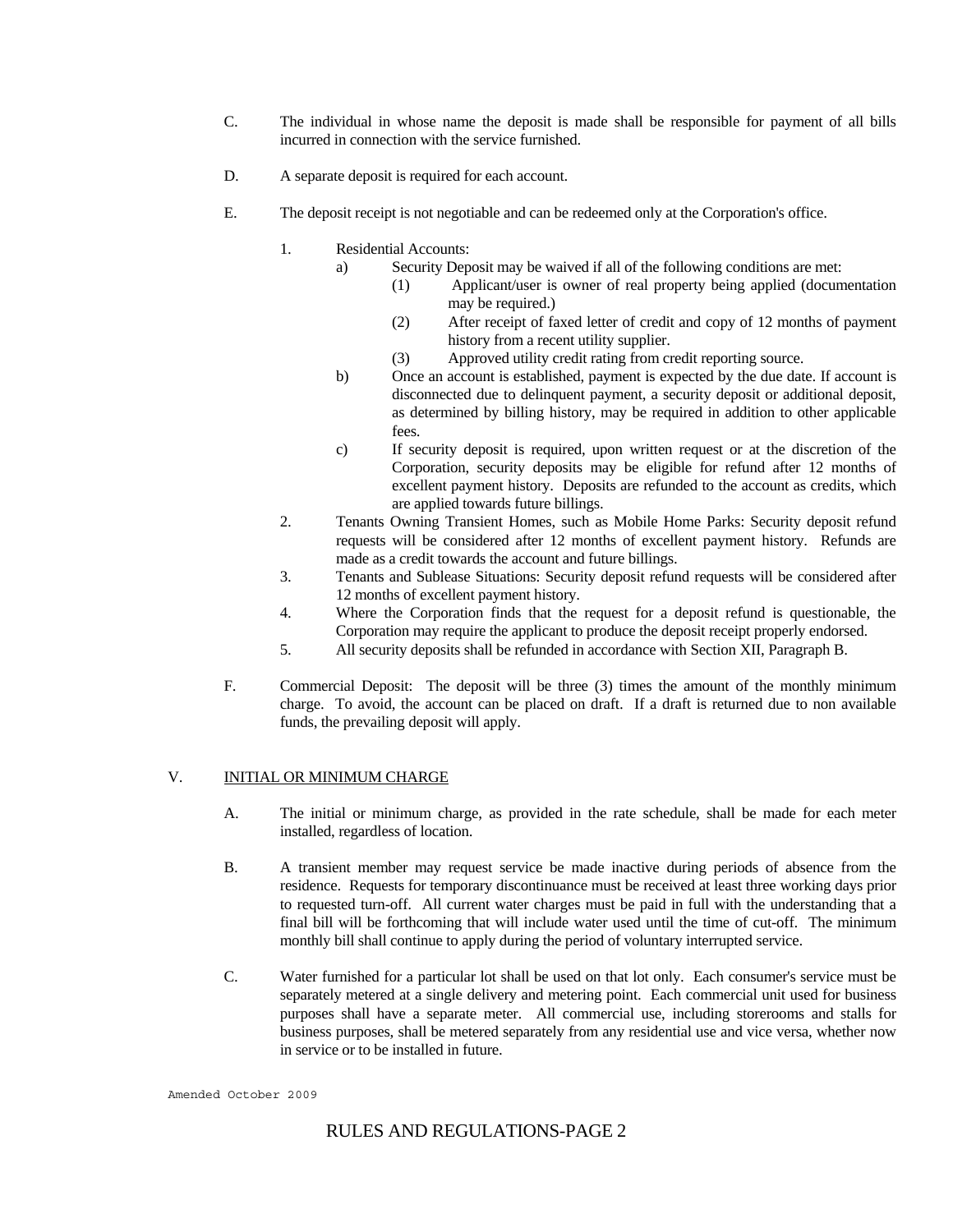- C. The individual in whose name the deposit is made shall be responsible for payment of all bills incurred in connection with the service furnished.
- D. A separate deposit is required for each account.
- E. The deposit receipt is not negotiable and can be redeemed only at the Corporation's office.
	- 1. Residential Accounts:
		- a) Security Deposit may be waived if all of the following conditions are met:
			- (1) Applicant/user is owner of real property being applied (documentation may be required.)
			- (2) After receipt of faxed letter of credit and copy of 12 months of payment history from a recent utility supplier.
			- (3) Approved utility credit rating from credit reporting source.
		- b) Once an account is established, payment is expected by the due date. If account is disconnected due to delinquent payment, a security deposit or additional deposit, as determined by billing history, may be required in addition to other applicable fees.
		- c) If security deposit is required, upon written request or at the discretion of the Corporation, security deposits may be eligible for refund after 12 months of excellent payment history. Deposits are refunded to the account as credits, which are applied towards future billings.
	- 2. Tenants Owning Transient Homes, such as Mobile Home Parks: Security deposit refund requests will be considered after 12 months of excellent payment history. Refunds are made as a credit towards the account and future billings.
	- 3. Tenants and Sublease Situations: Security deposit refund requests will be considered after 12 months of excellent payment history.
	- 4. Where the Corporation finds that the request for a deposit refund is questionable, the Corporation may require the applicant to produce the deposit receipt properly endorsed.
	- 5. All security deposits shall be refunded in accordance with Section XII, Paragraph B.
- F. Commercial Deposit: The deposit will be three (3) times the amount of the monthly minimum charge. To avoid, the account can be placed on draft. If a draft is returned due to non available funds, the prevailing deposit will apply.

# V. INITIAL OR MINIMUM CHARGE

- A. The initial or minimum charge, as provided in the rate schedule, shall be made for each meter installed, regardless of location.
- B. A transient member may request service be made inactive during periods of absence from the residence. Requests for temporary discontinuance must be received at least three working days prior to requested turn-off. All current water charges must be paid in full with the understanding that a final bill will be forthcoming that will include water used until the time of cut-off. The minimum monthly bill shall continue to apply during the period of voluntary interrupted service.
- C. Water furnished for a particular lot shall be used on that lot only. Each consumer's service must be separately metered at a single delivery and metering point. Each commercial unit used for business purposes shall have a separate meter. All commercial use, including storerooms and stalls for business purposes, shall be metered separately from any residential use and vice versa, whether now in service or to be installed in future.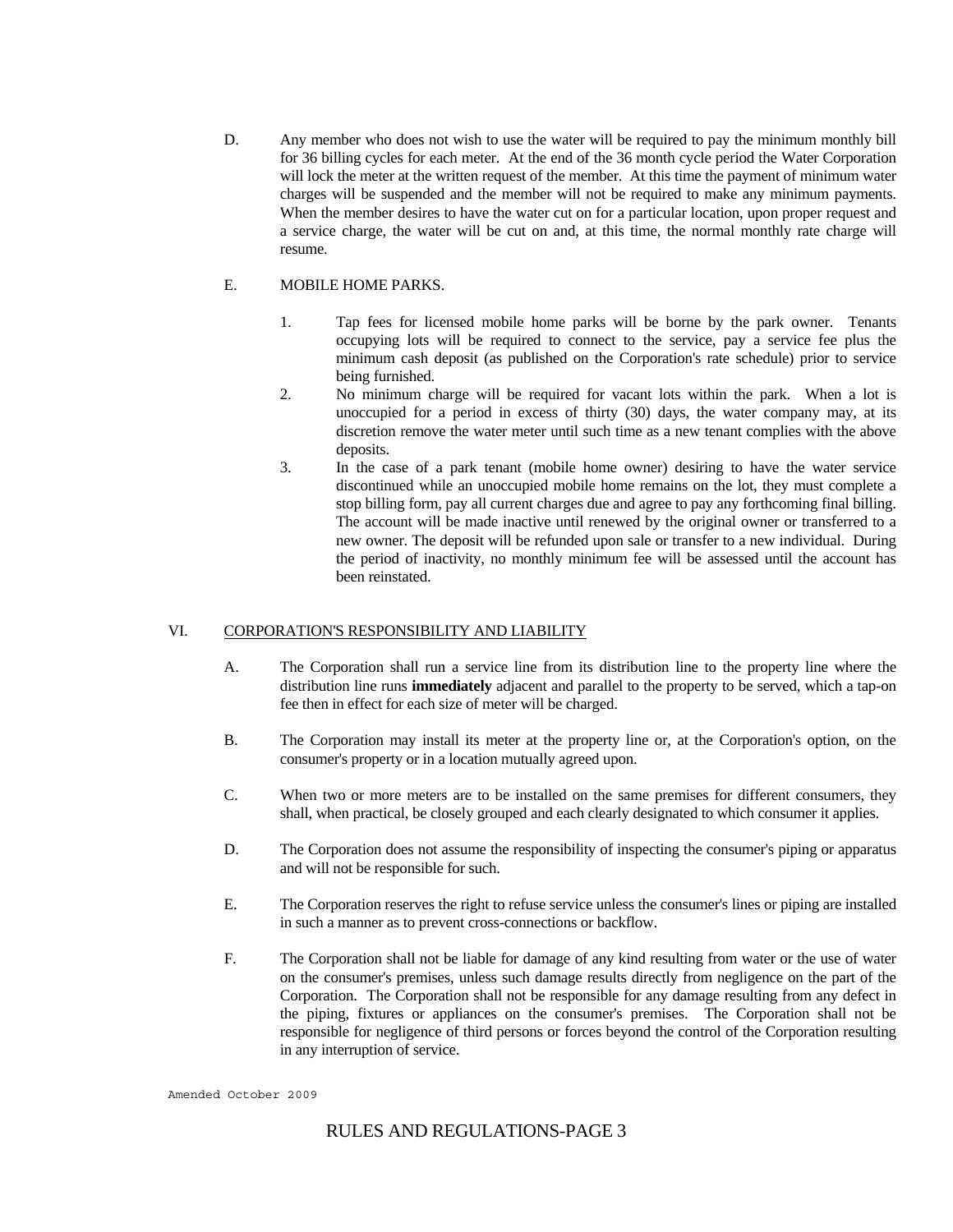D. Any member who does not wish to use the water will be required to pay the minimum monthly bill for 36 billing cycles for each meter. At the end of the 36 month cycle period the Water Corporation will lock the meter at the written request of the member. At this time the payment of minimum water charges will be suspended and the member will not be required to make any minimum payments. When the member desires to have the water cut on for a particular location, upon proper request and a service charge, the water will be cut on and, at this time, the normal monthly rate charge will resume.

## E. MOBILE HOME PARKS.

- 1. Tap fees for licensed mobile home parks will be borne by the park owner. Tenants occupying lots will be required to connect to the service, pay a service fee plus the minimum cash deposit (as published on the Corporation's rate schedule) prior to service being furnished.
- 2. No minimum charge will be required for vacant lots within the park. When a lot is unoccupied for a period in excess of thirty (30) days, the water company may, at its discretion remove the water meter until such time as a new tenant complies with the above deposits.
- 3. In the case of a park tenant (mobile home owner) desiring to have the water service discontinued while an unoccupied mobile home remains on the lot, they must complete a stop billing form, pay all current charges due and agree to pay any forthcoming final billing. The account will be made inactive until renewed by the original owner or transferred to a new owner. The deposit will be refunded upon sale or transfer to a new individual. During the period of inactivity, no monthly minimum fee will be assessed until the account has been reinstated.

# VI. CORPORATION'S RESPONSIBILITY AND LIABILITY

- A. The Corporation shall run a service line from its distribution line to the property line where the distribution line runs **immediately** adjacent and parallel to the property to be served, which a tap-on fee then in effect for each size of meter will be charged.
- B. The Corporation may install its meter at the property line or, at the Corporation's option, on the consumer's property or in a location mutually agreed upon.
- C. When two or more meters are to be installed on the same premises for different consumers, they shall, when practical, be closely grouped and each clearly designated to which consumer it applies.
- D. The Corporation does not assume the responsibility of inspecting the consumer's piping or apparatus and will not be responsible for such.
- E. The Corporation reserves the right to refuse service unless the consumer's lines or piping are installed in such a manner as to prevent cross-connections or backflow.
- F. The Corporation shall not be liable for damage of any kind resulting from water or the use of water on the consumer's premises, unless such damage results directly from negligence on the part of the Corporation. The Corporation shall not be responsible for any damage resulting from any defect in the piping, fixtures or appliances on the consumer's premises. The Corporation shall not be responsible for negligence of third persons or forces beyond the control of the Corporation resulting in any interruption of service.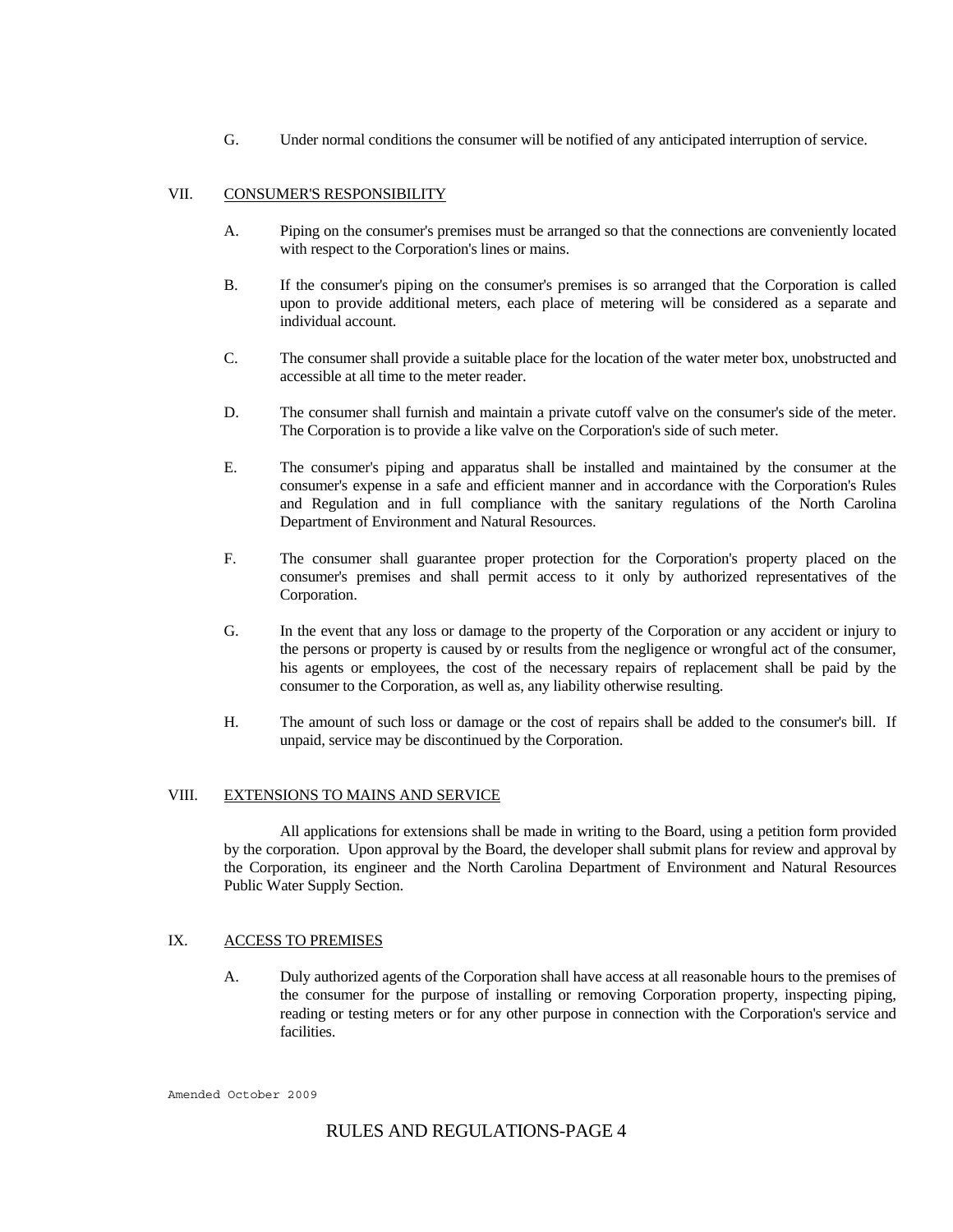G. Under normal conditions the consumer will be notified of any anticipated interruption of service.

## VII. CONSUMER'S RESPONSIBILITY

- A. Piping on the consumer's premises must be arranged so that the connections are conveniently located with respect to the Corporation's lines or mains.
- B. If the consumer's piping on the consumer's premises is so arranged that the Corporation is called upon to provide additional meters, each place of metering will be considered as a separate and individual account.
- C. The consumer shall provide a suitable place for the location of the water meter box, unobstructed and accessible at all time to the meter reader.
- D. The consumer shall furnish and maintain a private cutoff valve on the consumer's side of the meter. The Corporation is to provide a like valve on the Corporation's side of such meter.
- E. The consumer's piping and apparatus shall be installed and maintained by the consumer at the consumer's expense in a safe and efficient manner and in accordance with the Corporation's Rules and Regulation and in full compliance with the sanitary regulations of the North Carolina Department of Environment and Natural Resources.
- F. The consumer shall guarantee proper protection for the Corporation's property placed on the consumer's premises and shall permit access to it only by authorized representatives of the Corporation.
- G. In the event that any loss or damage to the property of the Corporation or any accident or injury to the persons or property is caused by or results from the negligence or wrongful act of the consumer, his agents or employees, the cost of the necessary repairs of replacement shall be paid by the consumer to the Corporation, as well as, any liability otherwise resulting.
- H. The amount of such loss or damage or the cost of repairs shall be added to the consumer's bill. If unpaid, service may be discontinued by the Corporation.

# VIII. EXTENSIONS TO MAINS AND SERVICE

 All applications for extensions shall be made in writing to the Board, using a petition form provided by the corporation. Upon approval by the Board, the developer shall submit plans for review and approval by the Corporation, its engineer and the North Carolina Department of Environment and Natural Resources Public Water Supply Section.

#### IX. ACCESS TO PREMISES

A. Duly authorized agents of the Corporation shall have access at all reasonable hours to the premises of the consumer for the purpose of installing or removing Corporation property, inspecting piping, reading or testing meters or for any other purpose in connection with the Corporation's service and facilities.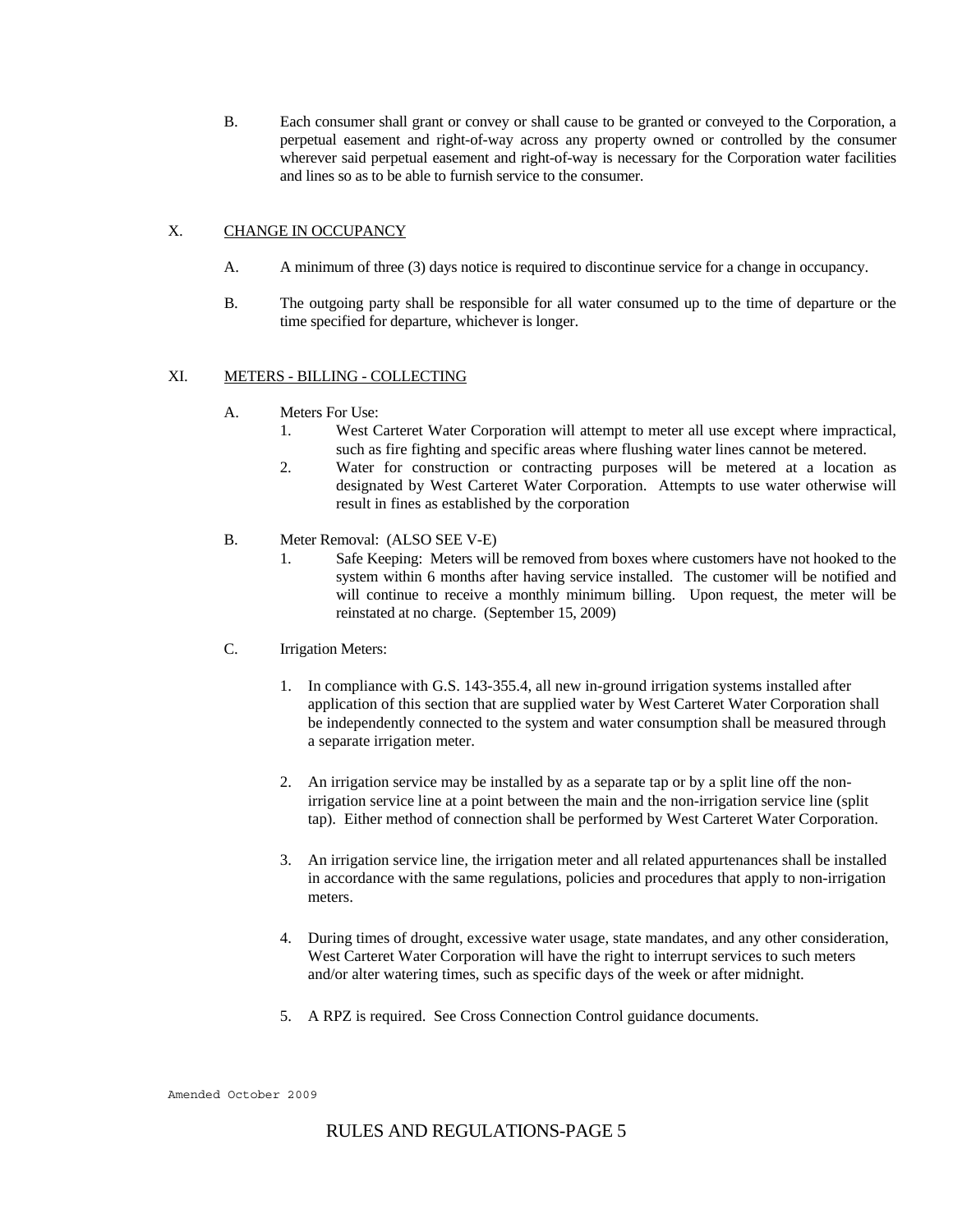B. Each consumer shall grant or convey or shall cause to be granted or conveyed to the Corporation, a perpetual easement and right-of-way across any property owned or controlled by the consumer wherever said perpetual easement and right-of-way is necessary for the Corporation water facilities and lines so as to be able to furnish service to the consumer.

# X. CHANGE IN OCCUPANCY

- A. A minimum of three (3) days notice is required to discontinue service for a change in occupancy.
- B. The outgoing party shall be responsible for all water consumed up to the time of departure or the time specified for departure, whichever is longer.

## XI. METERS - BILLING - COLLECTING

- A. Meters For Use:
	- 1. West Carteret Water Corporation will attempt to meter all use except where impractical, such as fire fighting and specific areas where flushing water lines cannot be metered.
	- 2. Water for construction or contracting purposes will be metered at a location as designated by West Carteret Water Corporation. Attempts to use water otherwise will result in fines as established by the corporation
- B. Meter Removal: (ALSO SEE V-E)
	- 1. Safe Keeping: Meters will be removed from boxes where customers have not hooked to the system within 6 months after having service installed. The customer will be notified and will continue to receive a monthly minimum billing. Upon request, the meter will be reinstated at no charge. (September 15, 2009)
- C. Irrigation Meters:
	- 1. In compliance with G.S. 143-355.4, all new in-ground irrigation systems installed after application of this section that are supplied water by West Carteret Water Corporation shall be independently connected to the system and water consumption shall be measured through a separate irrigation meter.
	- 2. An irrigation service may be installed by as a separate tap or by a split line off the nonirrigation service line at a point between the main and the non-irrigation service line (split tap). Either method of connection shall be performed by West Carteret Water Corporation.
	- 3. An irrigation service line, the irrigation meter and all related appurtenances shall be installed in accordance with the same regulations, policies and procedures that apply to non-irrigation meters.
	- 4. During times of drought, excessive water usage, state mandates, and any other consideration, West Carteret Water Corporation will have the right to interrupt services to such meters and/or alter watering times, such as specific days of the week or after midnight.
	- 5. A RPZ is required. See Cross Connection Control guidance documents.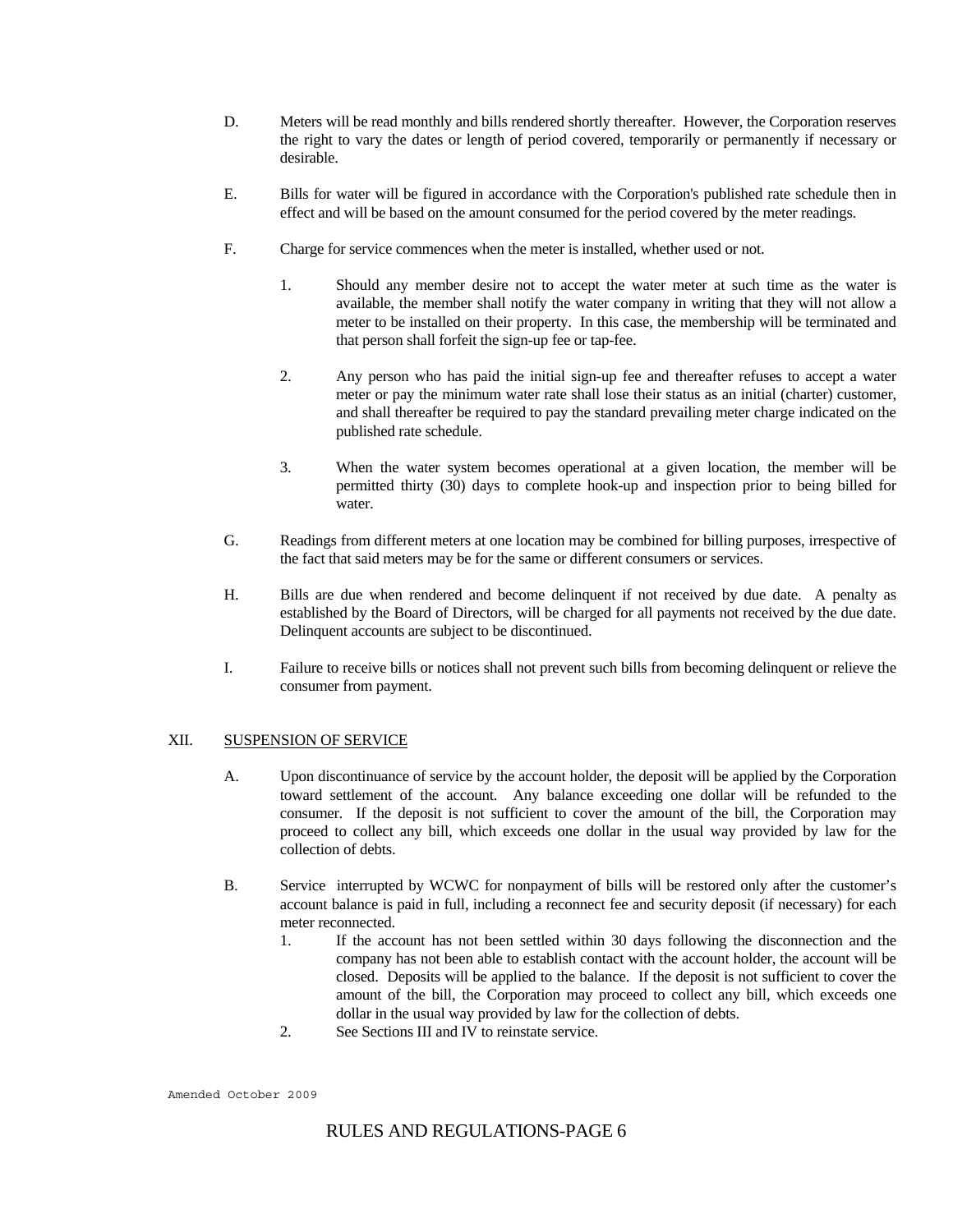- D. Meters will be read monthly and bills rendered shortly thereafter. However, the Corporation reserves the right to vary the dates or length of period covered, temporarily or permanently if necessary or desirable.
- E. Bills for water will be figured in accordance with the Corporation's published rate schedule then in effect and will be based on the amount consumed for the period covered by the meter readings.
- F. Charge for service commences when the meter is installed, whether used or not.
	- 1. Should any member desire not to accept the water meter at such time as the water is available, the member shall notify the water company in writing that they will not allow a meter to be installed on their property. In this case, the membership will be terminated and that person shall forfeit the sign-up fee or tap-fee.
	- 2. Any person who has paid the initial sign-up fee and thereafter refuses to accept a water meter or pay the minimum water rate shall lose their status as an initial (charter) customer, and shall thereafter be required to pay the standard prevailing meter charge indicated on the published rate schedule.
	- 3. When the water system becomes operational at a given location, the member will be permitted thirty (30) days to complete hook-up and inspection prior to being billed for water.
- G. Readings from different meters at one location may be combined for billing purposes, irrespective of the fact that said meters may be for the same or different consumers or services.
- H. Bills are due when rendered and become delinquent if not received by due date. A penalty as established by the Board of Directors, will be charged for all payments not received by the due date. Delinquent accounts are subject to be discontinued.
- I. Failure to receive bills or notices shall not prevent such bills from becoming delinquent or relieve the consumer from payment.

# XII. SUSPENSION OF SERVICE

- A. Upon discontinuance of service by the account holder, the deposit will be applied by the Corporation toward settlement of the account. Any balance exceeding one dollar will be refunded to the consumer. If the deposit is not sufficient to cover the amount of the bill, the Corporation may proceed to collect any bill, which exceeds one dollar in the usual way provided by law for the collection of debts.
- B. Service interrupted by WCWC for nonpayment of bills will be restored only after the customer's account balance is paid in full, including a reconnect fee and security deposit (if necessary) for each meter reconnected.
	- 1. If the account has not been settled within 30 days following the disconnection and the company has not been able to establish contact with the account holder, the account will be closed. Deposits will be applied to the balance. If the deposit is not sufficient to cover the amount of the bill, the Corporation may proceed to collect any bill, which exceeds one dollar in the usual way provided by law for the collection of debts.
	- 2. See Sections III and IV to reinstate service.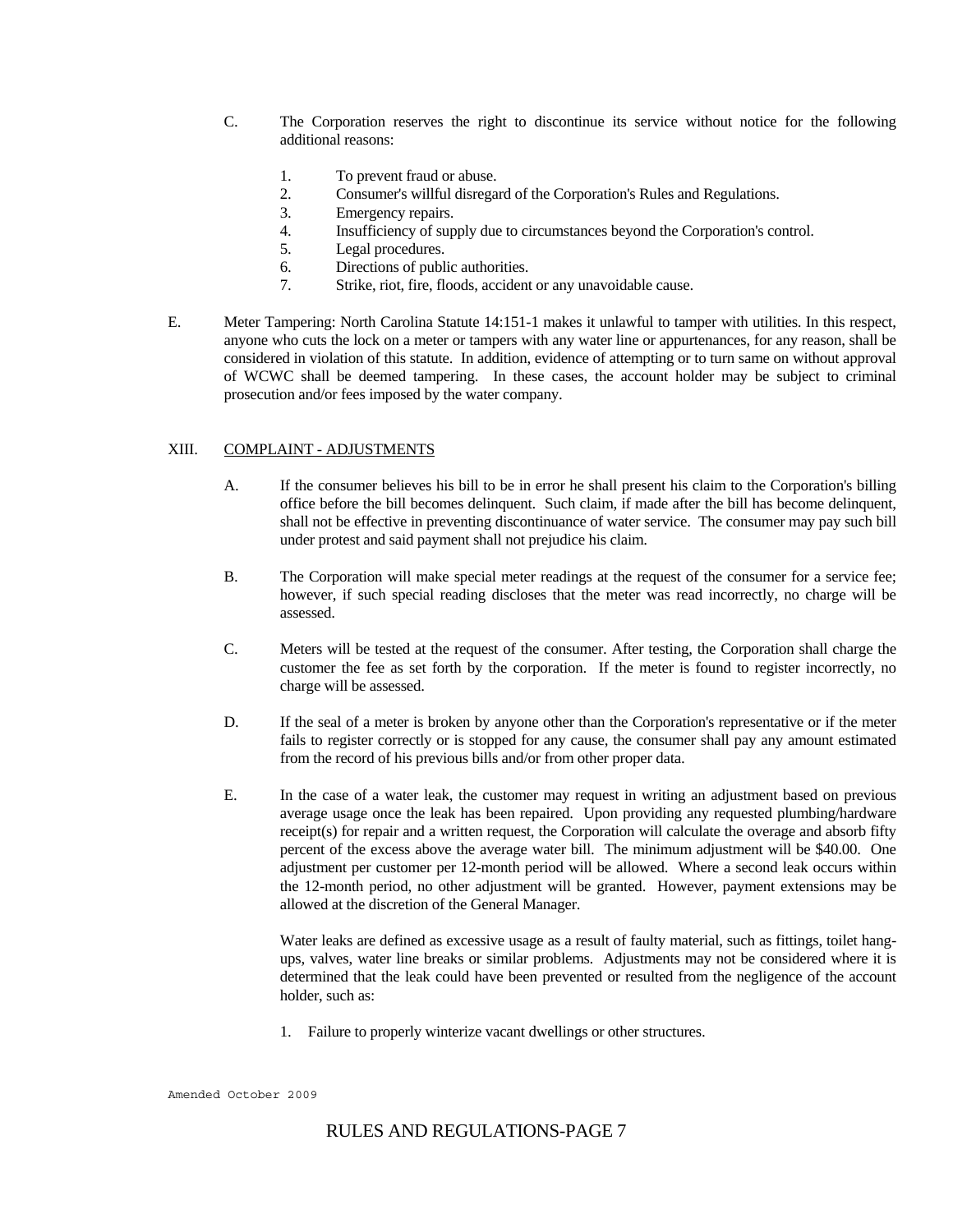- C. The Corporation reserves the right to discontinue its service without notice for the following additional reasons:
	- 1. To prevent fraud or abuse.
	- 2. Consumer's willful disregard of the Corporation's Rules and Regulations.
	- 3. Emergency repairs.
	- 4. Insufficiency of supply due to circumstances beyond the Corporation's control.
	- 5. Legal procedures.
	- 6. Directions of public authorities.
	- 7. Strike, riot, fire, floods, accident or any unavoidable cause.
- E. Meter Tampering: North Carolina Statute 14:151-1 makes it unlawful to tamper with utilities. In this respect, anyone who cuts the lock on a meter or tampers with any water line or appurtenances, for any reason, shall be considered in violation of this statute. In addition, evidence of attempting or to turn same on without approval of WCWC shall be deemed tampering. In these cases, the account holder may be subject to criminal prosecution and/or fees imposed by the water company.

## XIII. COMPLAINT - ADJUSTMENTS

- A. If the consumer believes his bill to be in error he shall present his claim to the Corporation's billing office before the bill becomes delinquent. Such claim, if made after the bill has become delinquent, shall not be effective in preventing discontinuance of water service. The consumer may pay such bill under protest and said payment shall not prejudice his claim.
- B. The Corporation will make special meter readings at the request of the consumer for a service fee; however, if such special reading discloses that the meter was read incorrectly, no charge will be assessed.
- C. Meters will be tested at the request of the consumer. After testing, the Corporation shall charge the customer the fee as set forth by the corporation. If the meter is found to register incorrectly, no charge will be assessed.
- D. If the seal of a meter is broken by anyone other than the Corporation's representative or if the meter fails to register correctly or is stopped for any cause, the consumer shall pay any amount estimated from the record of his previous bills and/or from other proper data.
- E. In the case of a water leak, the customer may request in writing an adjustment based on previous average usage once the leak has been repaired. Upon providing any requested plumbing/hardware receipt(s) for repair and a written request, the Corporation will calculate the overage and absorb fifty percent of the excess above the average water bill. The minimum adjustment will be \$40.00. One adjustment per customer per 12-month period will be allowed. Where a second leak occurs within the 12-month period, no other adjustment will be granted. However, payment extensions may be allowed at the discretion of the General Manager.

Water leaks are defined as excessive usage as a result of faulty material, such as fittings, toilet hangups, valves, water line breaks or similar problems. Adjustments may not be considered where it is determined that the leak could have been prevented or resulted from the negligence of the account holder, such as:

1. Failure to properly winterize vacant dwellings or other structures.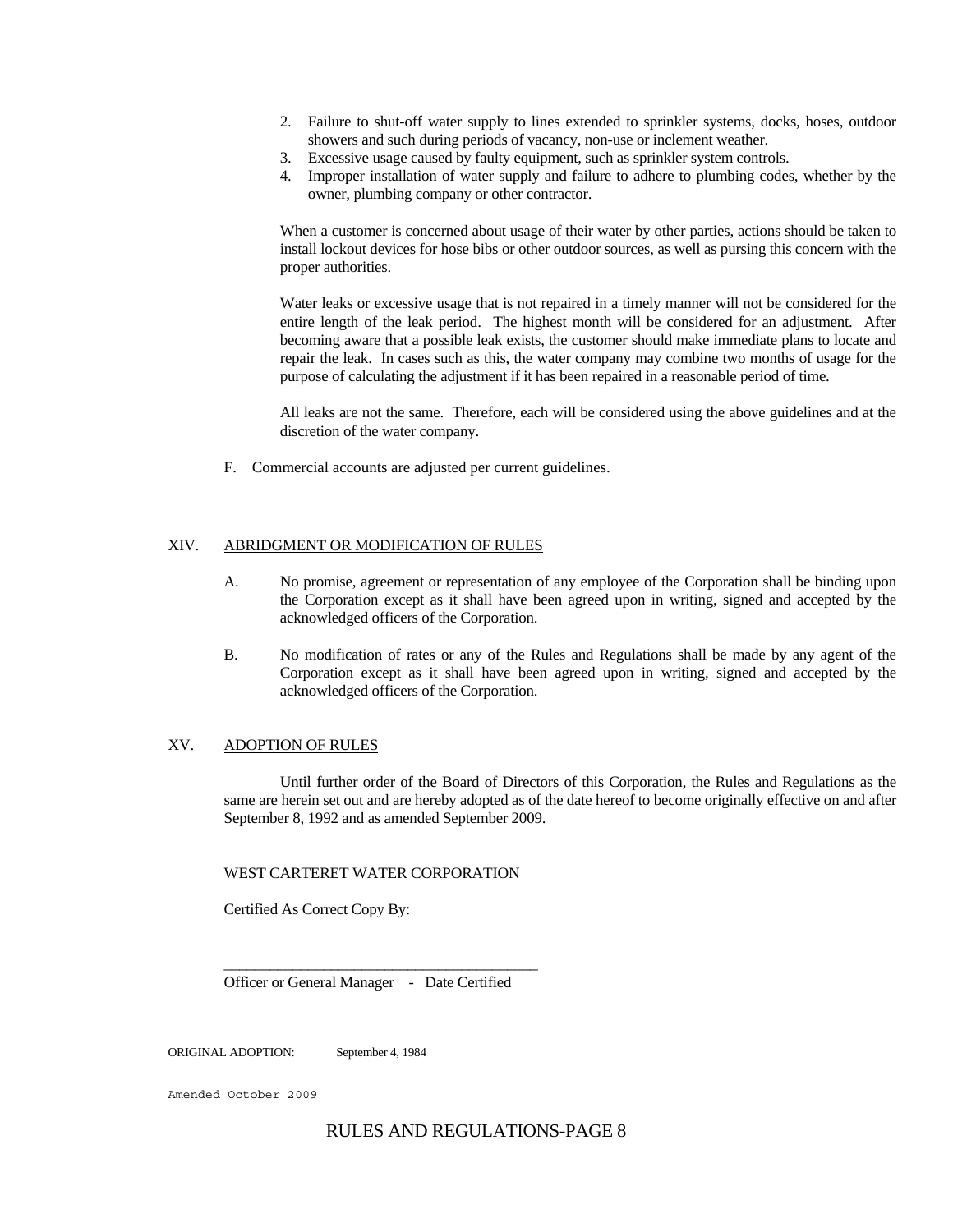- 2. Failure to shut-off water supply to lines extended to sprinkler systems, docks, hoses, outdoor showers and such during periods of vacancy, non-use or inclement weather.
- 3. Excessive usage caused by faulty equipment, such as sprinkler system controls.
- 4. Improper installation of water supply and failure to adhere to plumbing codes, whether by the owner, plumbing company or other contractor.

When a customer is concerned about usage of their water by other parties, actions should be taken to install lockout devices for hose bibs or other outdoor sources, as well as pursing this concern with the proper authorities.

Water leaks or excessive usage that is not repaired in a timely manner will not be considered for the entire length of the leak period. The highest month will be considered for an adjustment. After becoming aware that a possible leak exists, the customer should make immediate plans to locate and repair the leak. In cases such as this, the water company may combine two months of usage for the purpose of calculating the adjustment if it has been repaired in a reasonable period of time.

All leaks are not the same. Therefore, each will be considered using the above guidelines and at the discretion of the water company.

F. Commercial accounts are adjusted per current guidelines.

## XIV. ABRIDGMENT OR MODIFICATION OF RULES

- A. No promise, agreement or representation of any employee of the Corporation shall be binding upon the Corporation except as it shall have been agreed upon in writing, signed and accepted by the acknowledged officers of the Corporation.
- B. No modification of rates or any of the Rules and Regulations shall be made by any agent of the Corporation except as it shall have been agreed upon in writing, signed and accepted by the acknowledged officers of the Corporation.

#### XV. ADOPTION OF RULES

 Until further order of the Board of Directors of this Corporation, the Rules and Regulations as the same are herein set out and are hereby adopted as of the date hereof to become originally effective on and after September 8, 1992 and as amended September 2009.

## WEST CARTERET WATER CORPORATION

Certified As Correct Copy By:

Officer or General Manager - Date Certified

 $\frac{1}{\sqrt{2}}$  ,  $\frac{1}{\sqrt{2}}$  ,  $\frac{1}{\sqrt{2}}$  ,  $\frac{1}{\sqrt{2}}$  ,  $\frac{1}{\sqrt{2}}$  ,  $\frac{1}{\sqrt{2}}$  ,  $\frac{1}{\sqrt{2}}$  ,  $\frac{1}{\sqrt{2}}$  ,  $\frac{1}{\sqrt{2}}$  ,  $\frac{1}{\sqrt{2}}$  ,  $\frac{1}{\sqrt{2}}$  ,  $\frac{1}{\sqrt{2}}$  ,  $\frac{1}{\sqrt{2}}$  ,  $\frac{1}{\sqrt{2}}$  ,  $\frac{1}{\sqrt{2}}$ 

ORIGINAL ADOPTION: September 4, 1984

Amended October 2009

# RULES AND REGULATIONS-PAGE 8